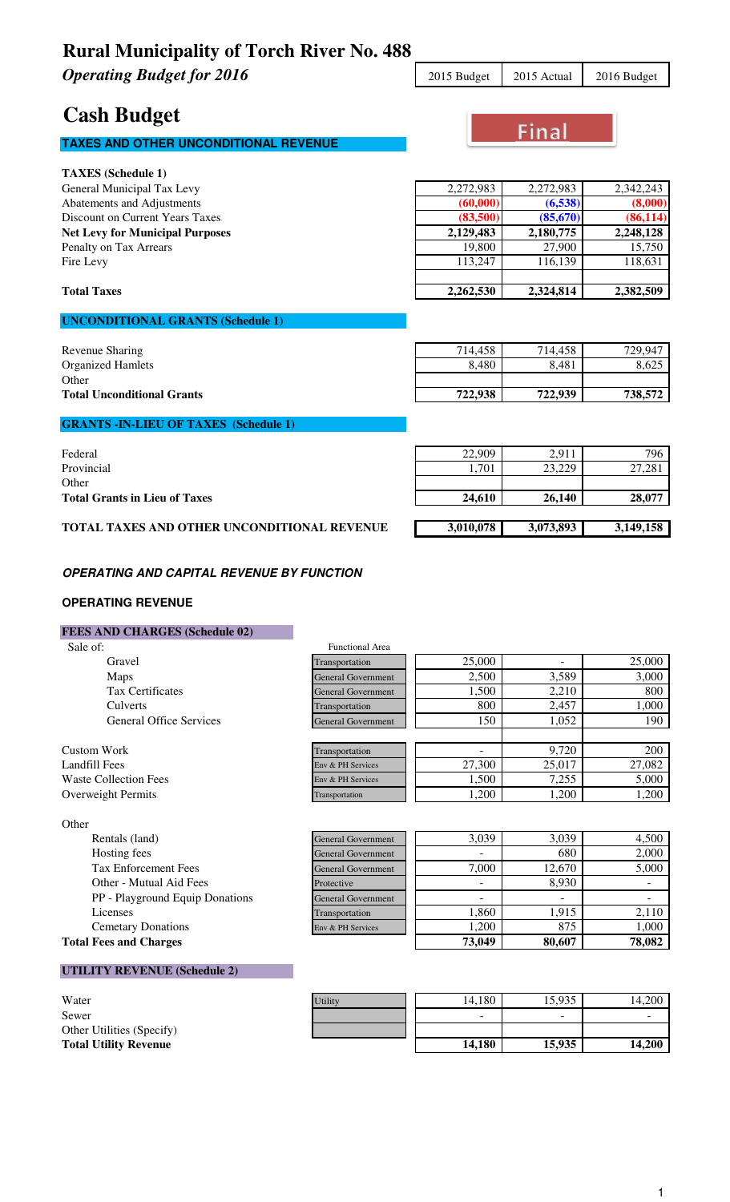**Operating Budget for 2016** 2015 2015 Budget 2015 Actual 2016 Budget

### **Cash Budget**

### **TAXES AND OTHER UNCONDITIONAL REVENUE**

| <b>TAXES</b> (Schedule 1)              |           |           |           |
|----------------------------------------|-----------|-----------|-----------|
| General Municipal Tax Levy             | 2,272,983 | 2,272,983 | 2,342,243 |
| Abatements and Adjustments             | (60,000)  | (6,538)   | (8,000)   |
| Discount on Current Years Taxes        | (83,500)  | (85,670)  | (86, 114) |
| <b>Net Levy for Municipal Purposes</b> | 2,129,483 | 2,180,775 | 2,248,128 |
| Penalty on Tax Arrears                 | 19,800    | 27,900    | 15,750    |
| Fire Levy                              | 113.247   | 116.139   | 118,631   |
| <b>Total Taxes</b>                     | 2,262,530 | 2,324,814 | 2,382,509 |

### **UNCONDITIONAL GRANTS (Schedule 1)**

| Revenue Sharing                   | 714.458 | 714,458 | 729.947 |
|-----------------------------------|---------|---------|---------|
| <b>Organized Hamlets</b>          | 8,480   | 8,481   | 8,625   |
| Other                             |         |         |         |
| <b>Total Unconditional Grants</b> | 722.938 | 722,939 | 738,572 |
|                                   |         |         |         |

#### **GRANTS -IN-LIEU OF TAXES (Schedule 1)**

| Federal                                     | 22,909    | 2.911     | 796       |
|---------------------------------------------|-----------|-----------|-----------|
| Provincial                                  | 1,701     | 23,229    | 27,281    |
| Other                                       |           |           |           |
| <b>Total Grants in Lieu of Taxes</b>        | 24,610    | 26,140    | 28,077    |
|                                             |           |           |           |
| TOTAL TAXES AND OTHER UNCONDITIONAL REVENUE | 3,010,078 | 3,073,893 | 3,149,158 |

#### **OPERATING AND CAPITAL REVENUE BY FUNCTION**

#### **OPERATING REVENUE**

#### **FEES AND CHARGES (Schedule 02)**

| Sale of:                       | <b>Functional Area</b>    |        |        |        |
|--------------------------------|---------------------------|--------|--------|--------|
| Gravel                         | Transportation            | 25,000 | -      | 25,000 |
| Maps                           | <b>General Government</b> | 2,500  | 3,589  | 3,000  |
| <b>Tax Certificates</b>        | <b>General Government</b> | 1,500  | 2,210  | 800    |
| Culverts                       | Transportation            | 800    | 2,457  | 1,000  |
| <b>General Office Services</b> | <b>General Government</b> | 150    | 1.052  | 190    |
|                                |                           |        |        |        |
| Custom Work                    | Transportation            |        | 9.720  | 200    |
| Landfill Fees                  | Env & PH Services         | 27,300 | 25,017 | 27,082 |
| <b>Waste Collection Fees</b>   | Env & PH Services         | 1,500  | 7,255  | 5,000  |
| <b>Overweight Permits</b>      | Transportation            | 1,200  | 1,200  | 1,200  |

Other

| Uuner                           |                           |        |        |        |
|---------------------------------|---------------------------|--------|--------|--------|
| Rentals (land)                  | <b>General Government</b> | 3,039  | 3,039  | 4.500  |
| Hosting fees                    | <b>General Government</b> |        | 680    | 2,000  |
| <b>Tax Enforcement Fees</b>     | <b>General Government</b> | 7,000  | 12,670 | 5,000  |
| Other - Mutual Aid Fees         | Protective                | -      | 8,930  |        |
| PP - Playground Equip Donations | <b>General Government</b> |        |        |        |
| Licenses                        | Transportation            | 1.860  | 1.915  | 2,110  |
| <b>Cemetary Donations</b>       | Env & PH Services         | .200   | 875    | 1,000  |
| <b>Total Fees and Charges</b>   |                           | 73,049 | 80,607 | 78,082 |

#### **UTILITY REVENUE (Schedule 2)**

| Water                        |
|------------------------------|
| Sewer                        |
| Other Utilities (Specify)    |
| <b>Total Utility Revenue</b> |

| Water                        | Utility | 14.180                   | 15,935                   | 14.200 |
|------------------------------|---------|--------------------------|--------------------------|--------|
| Sewer                        |         | $\overline{\phantom{a}}$ | $\overline{\phantom{a}}$ |        |
| Other Utilities (Specify)    |         |                          |                          |        |
| <b>Total Utility Revenue</b> |         | 14.180                   | 15.935                   | 14.200 |



Final

| 200    |
|--------|
| 27,082 |
| 5,000  |
| 1,200  |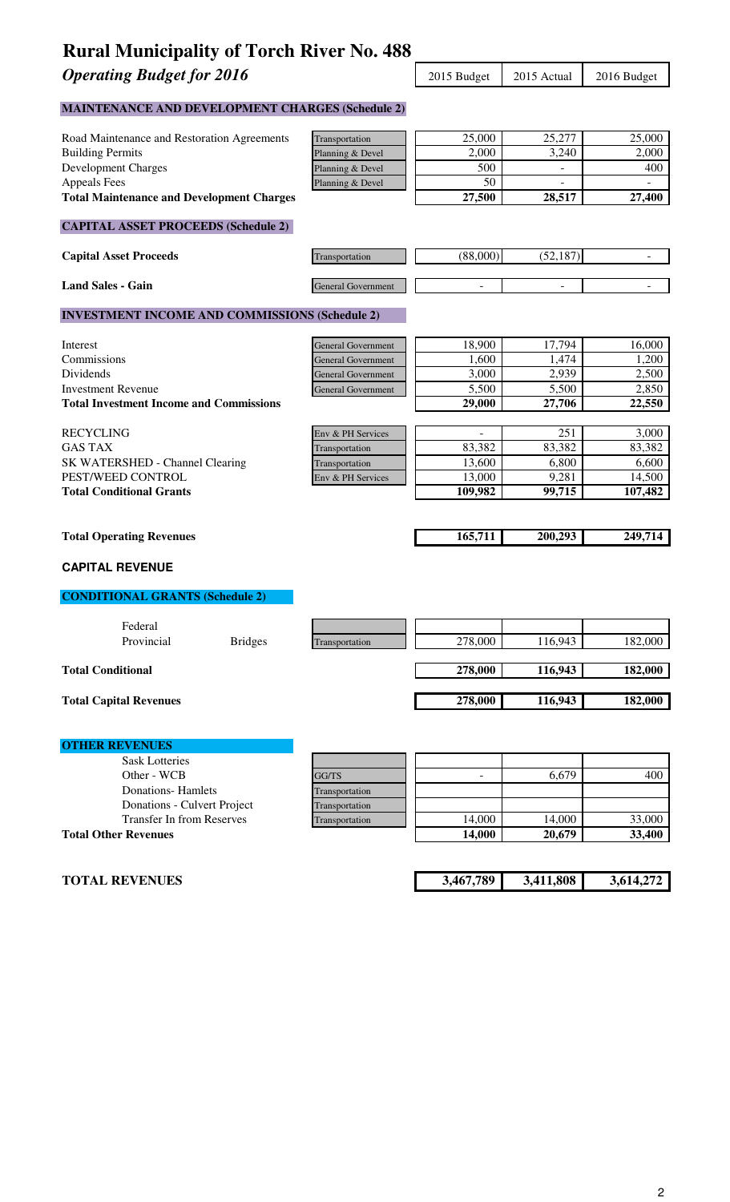**Operating Budget for 2016** 2015 Budget 2015 Actual 2016 Budget

### **MAINTENANCE AND DEVELOPMENT CHARGES (Schedule 2)**

| Road Maintenance and Restoration Agreements           | Transportation            | 25,000         | 25,277    | 25,000                   |
|-------------------------------------------------------|---------------------------|----------------|-----------|--------------------------|
| <b>Building Permits</b>                               | Planning & Devel          | 2,000          | 3,240     | 2,000                    |
| <b>Development Charges</b>                            | Planning & Devel          | 500            |           | 400                      |
| <b>Appeals Fees</b>                                   | Planning & Devel          | 50             |           | ÷,                       |
| <b>Total Maintenance and Development Charges</b>      |                           | 27,500         | 28,517    | 27,400                   |
| <b>CAPITAL ASSET PROCEEDS (Schedule 2)</b>            |                           |                |           |                          |
|                                                       |                           |                |           |                          |
| <b>Capital Asset Proceeds</b>                         | Transportation            | (88,000)       | (52, 187) |                          |
| <b>Land Sales - Gain</b>                              | General Government        |                |           | $\overline{\phantom{0}}$ |
| <b>INVESTMENT INCOME AND COMMISSIONS (Schedule 2)</b> |                           |                |           |                          |
| Interest                                              | <b>General Government</b> | 18,900         | 17,794    | 16,000                   |
| Commissions                                           | <b>General Government</b> | 1,600          | 1,474     | 1,200                    |
| Dividends                                             | <b>General Government</b> | 3,000          | 2,939     | 2,500                    |
| <b>Investment Revenue</b>                             | <b>General Government</b> | 5,500          | 5,500     | 2,850                    |
| <b>Total Investment Income and Commissions</b>        |                           | 29,000         | 27,706    | 22,550                   |
| <b>RECYCLING</b>                                      | Env & PH Services         | L.             | 251       | 3,000                    |
| <b>GAS TAX</b>                                        | Transportation            | 83,382         | 83,382    | 83,382                   |
| SK WATERSHED - Channel Clearing                       | Transportation            | 13,600         | 6,800     | 6,600                    |
| PEST/WEED CONTROL                                     | Env & PH Services         | 13,000         | 9,281     | 14,500                   |
| <b>Total Conditional Grants</b>                       |                           | 109,982        | 99,715    | 107,482                  |
|                                                       |                           |                |           |                          |
| <b>Total Operating Revenues</b>                       |                           | 165,711        | 200,293   | 249,714                  |
| <b>CAPITAL REVENUE</b>                                |                           |                |           |                          |
| <b>CONDITIONAL GRANTS (Schedule 2)</b>                |                           |                |           |                          |
| Federal                                               |                           |                |           |                          |
| Provincial<br><b>Bridges</b>                          | Transportation            | 278,000        | 116,943   | 182,000                  |
| <b>Total Conditional</b>                              |                           | 278,000        | 116,943   | 182,000                  |
| <b>Total Capital Revenues</b>                         |                           | 278,000        | 116,943   | 182,000                  |
|                                                       |                           |                |           |                          |
| <b>OTHER REVENUES</b>                                 |                           |                |           |                          |
| <b>Sask Lotteries</b>                                 |                           |                |           |                          |
| Other - WCB                                           | GG/TS                     | $\overline{a}$ | 6,679     | 400                      |
| <b>Donations-Hamlets</b>                              | Transportation            |                |           |                          |
| Donations - Culvert Project                           | Transportation            |                |           |                          |
| <b>Transfer In from Reserves</b>                      | Transportation            | 14,000         | 14,000    | 33,000                   |
| <b>Total Other Revenues</b>                           |                           | 14,000         | 20,679    | 33,400                   |
|                                                       |                           |                |           |                          |
| <b>TOTAL REVENUES</b>                                 |                           | 3,467,789      | 3,411,808 | 3,614,272                |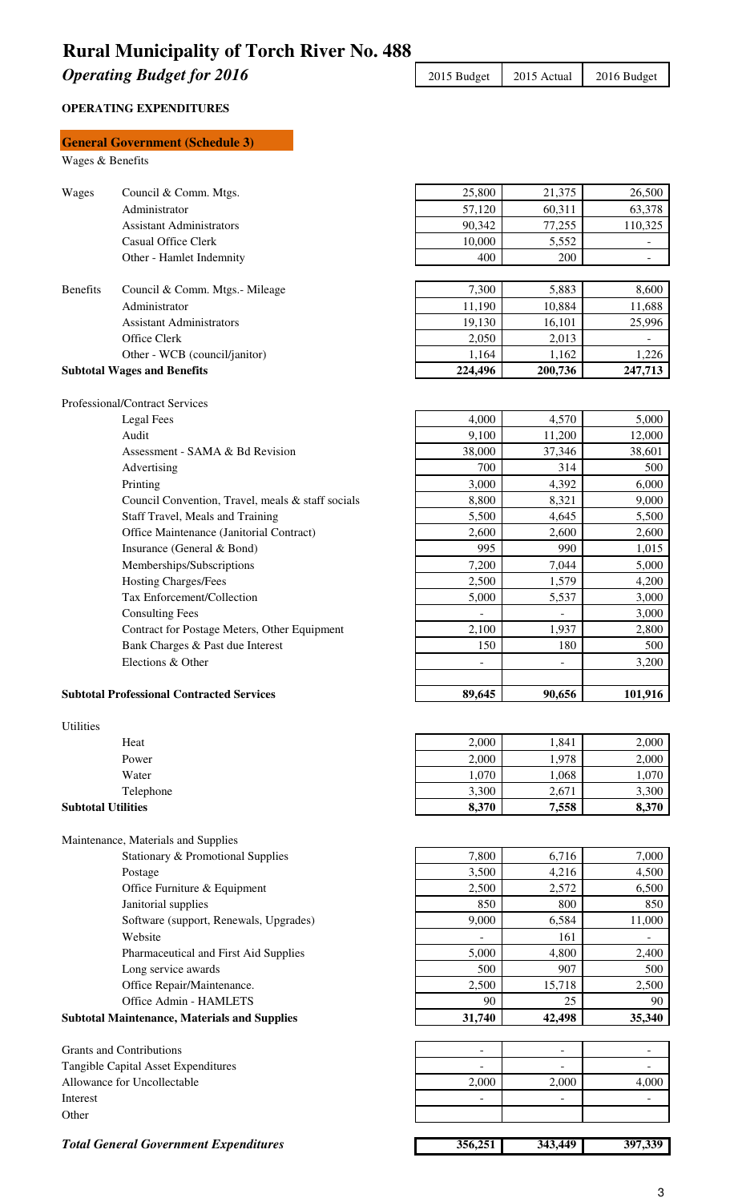**Operating Budget for 2016** 2015 Budget 2015 Actual 2016 Budget

#### **OPERATING EXPENDITURES**

|                           | <b>General Government (Schedule 3)</b>                                 |                          |                                   |                                    |
|---------------------------|------------------------------------------------------------------------|--------------------------|-----------------------------------|------------------------------------|
| Wages & Benefits          |                                                                        |                          |                                   |                                    |
|                           |                                                                        |                          |                                   |                                    |
| Wages                     | Council & Comm. Mtgs.                                                  | 25,800                   | 21,375                            | 26,500                             |
|                           | Administrator                                                          | 57,120                   | 60,311                            | 63,378                             |
|                           | <b>Assistant Administrators</b>                                        | 90,342                   | 77,255                            | 110,325                            |
|                           | <b>Casual Office Clerk</b><br>Other - Hamlet Indemnity                 | 10,000<br>400            | 5,552<br>200                      | $\blacksquare$                     |
|                           |                                                                        |                          |                                   | $\overline{\phantom{a}}$           |
| <b>Benefits</b>           | Council & Comm. Mtgs.- Mileage                                         | 7,300                    | 5,883                             | 8,600                              |
|                           | Administrator                                                          | 11,190                   | 10,884                            | 11,688                             |
|                           | <b>Assistant Administrators</b>                                        | 19,130                   | 16,101                            | 25,996                             |
|                           | Office Clerk                                                           | 2,050                    | 2,013                             |                                    |
|                           | Other - WCB (council/janitor)                                          | 1,164                    | 1,162                             | 1,226                              |
|                           | <b>Subtotal Wages and Benefits</b>                                     | 224,496                  | 200,736                           | 247,713                            |
|                           |                                                                        |                          |                                   |                                    |
|                           | Professional/Contract Services                                         |                          |                                   |                                    |
|                           | <b>Legal Fees</b>                                                      | 4,000                    | 4,570                             | 5,000                              |
|                           | Audit                                                                  | 9,100                    | 11,200                            | 12,000                             |
|                           | Assessment - SAMA & Bd Revision                                        | 38,000                   | 37,346                            | 38,601                             |
|                           | Advertising                                                            | 700                      | 314                               | 500                                |
|                           | Printing                                                               | 3,000                    | 4,392                             | 6,000                              |
|                           | Council Convention, Travel, meals & staff socials                      | 8,800                    | 8,321                             | 9,000                              |
|                           | Staff Travel, Meals and Training                                       | 5,500                    | 4,645                             | 5,500                              |
|                           | Office Maintenance (Janitorial Contract)                               | 2,600                    | 2,600                             | 2,600                              |
|                           | Insurance (General & Bond)                                             | 995                      | 990                               | 1,015                              |
|                           | Memberships/Subscriptions                                              | 7,200                    | 7,044                             | 5,000                              |
|                           | <b>Hosting Charges/Fees</b><br>Tax Enforcement/Collection              | 2,500<br>5,000           | 1,579                             | 4,200                              |
|                           |                                                                        |                          | 5,537                             | 3,000<br>3,000                     |
|                           | <b>Consulting Fees</b><br>Contract for Postage Meters, Other Equipment | 2,100                    | $\overline{\phantom{a}}$<br>1,937 | 2,800                              |
|                           | Bank Charges & Past due Interest                                       | 150                      | 180                               | 500                                |
|                           | Elections & Other                                                      |                          | $\overline{\phantom{0}}$          | 3,200                              |
|                           |                                                                        |                          |                                   |                                    |
|                           | <b>Subtotal Professional Contracted Services</b>                       | 89,645                   | 90,656                            | 101,916                            |
|                           |                                                                        |                          |                                   |                                    |
| Utilities                 |                                                                        |                          |                                   |                                    |
|                           | Heat                                                                   | 2,000                    | 1,841                             | 2,000                              |
|                           | Power                                                                  | 2,000                    | 1,978                             | 2,000                              |
|                           | Water                                                                  | 1,070                    | 1,068                             | 1,070                              |
|                           | Telephone                                                              | 3,300                    | 2,671                             | 3,300                              |
| <b>Subtotal Utilities</b> |                                                                        | 8,370                    | 7,558                             | 8,370                              |
|                           |                                                                        |                          |                                   |                                    |
|                           | Maintenance, Materials and Supplies                                    |                          |                                   |                                    |
|                           | Stationary & Promotional Supplies                                      | 7,800                    | 6,716                             | 7,000                              |
|                           | Postage                                                                | 3,500                    | 4,216                             | 4,500                              |
|                           | Office Furniture & Equipment                                           | 2,500                    | 2,572                             | 6,500                              |
|                           | Janitorial supplies                                                    | 850                      | 800                               | 850                                |
|                           | Software (support, Renewals, Upgrades)<br>Website                      | 9,000                    | 6,584<br>161                      | 11,000<br>$\overline{\phantom{a}}$ |
|                           | Pharmaceutical and First Aid Supplies                                  | 5,000                    | 4,800                             | 2,400                              |
|                           | Long service awards                                                    | 500                      | 907                               | 500                                |
|                           | Office Repair/Maintenance.                                             | 2,500                    | 15,718                            | 2,500                              |
|                           | Office Admin - HAMLETS                                                 | 90                       | 25                                | 90                                 |
|                           | <b>Subtotal Maintenance, Materials and Supplies</b>                    | 31,740                   | 42,498                            | 35,340                             |
|                           |                                                                        |                          |                                   |                                    |
|                           | <b>Grants and Contributions</b>                                        | $\overline{\phantom{a}}$ | $\overline{\phantom{a}}$          | $\blacksquare$                     |
|                           | Tangible Capital Asset Expenditures                                    |                          |                                   |                                    |
|                           | Allowance for Uncollectable                                            | 2,000                    | 2,000                             | 4.000                              |
| Interest                  |                                                                        |                          |                                   | ÷,                                 |
| Other                     |                                                                        |                          |                                   |                                    |
|                           |                                                                        |                          |                                   |                                    |
|                           | <b>Total General Government Expenditures</b>                           | 356,251                  | 343,449                           | 397,339                            |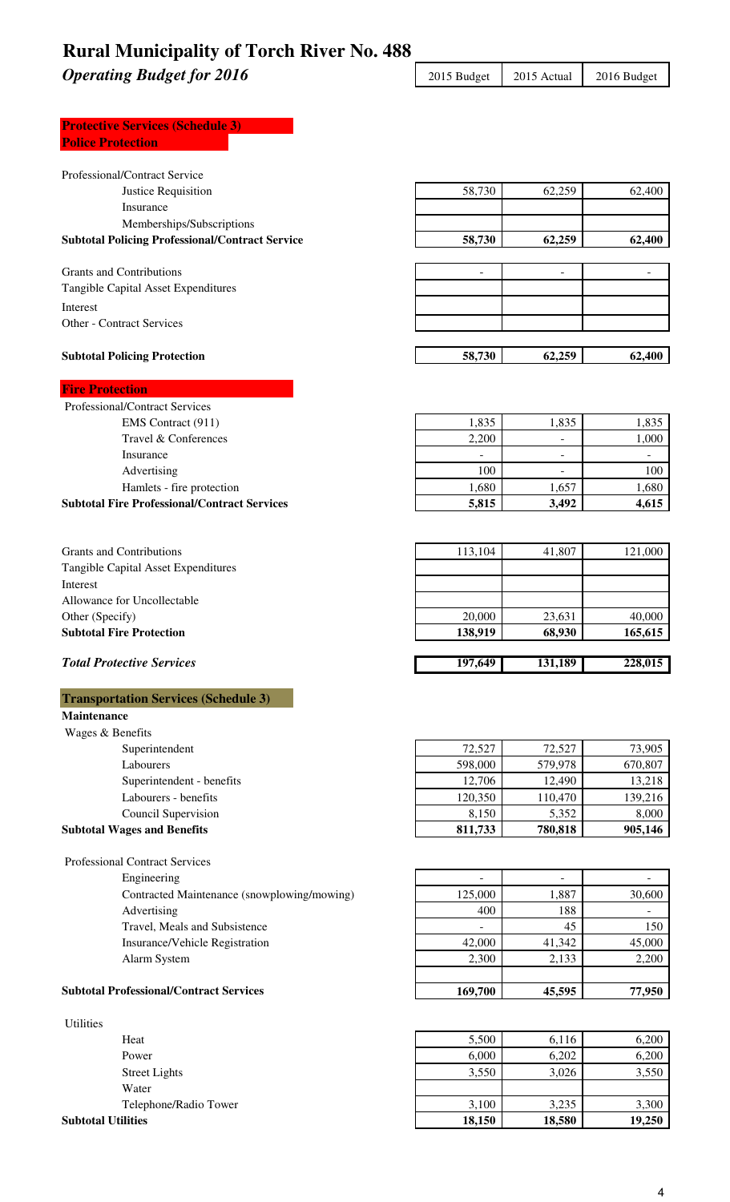**Operating Budget for 2016** 2015 Budget 2015 Actual 2016 Budget

### **Protective Services (Schedule 3) Police Protection**

| Professional/Contract Service                          |         |                          |                |
|--------------------------------------------------------|---------|--------------------------|----------------|
| Justice Requisition                                    | 58,730  | 62,259                   | 62,400         |
| Insurance                                              |         |                          |                |
| Memberships/Subscriptions                              |         |                          |                |
| <b>Subtotal Policing Professional/Contract Service</b> | 58,730  | 62,259                   | 62,400         |
|                                                        |         |                          |                |
| <b>Grants and Contributions</b>                        |         |                          |                |
| Tangible Capital Asset Expenditures                    |         |                          |                |
| Interest                                               |         |                          |                |
| Other - Contract Services                              |         |                          |                |
| <b>Subtotal Policing Protection</b>                    | 58,730  | 62,259                   | 62,400         |
| <b>Fire Protection</b>                                 |         |                          |                |
| Professional/Contract Services                         |         |                          |                |
| EMS Contract (911)                                     | 1,835   | 1,835                    | 1,835          |
| Travel & Conferences                                   | 2,200   | $\overline{\phantom{0}}$ | 1,000          |
| Insurance                                              |         |                          |                |
| Advertising                                            | 100     |                          | 100            |
| Hamlets - fire protection                              | 1,680   | 1,657                    | 1,680          |
| <b>Subtotal Fire Professional/Contract Services</b>    | 5,815   | 3,492                    | 4,615          |
|                                                        |         |                          |                |
| <b>Grants and Contributions</b>                        | 113,104 | 41,807                   | 121,000        |
| Tangible Capital Asset Expenditures                    |         |                          |                |
| Interest                                               |         |                          |                |
| Allowance for Uncollectable                            |         |                          |                |
| Other (Specify)                                        | 20,000  | 23,631                   | 40,000         |
| <b>Subtotal Fire Protection</b>                        | 138,919 | 68,930                   | 165,615        |
| <b>Total Protective Services</b>                       | 197,649 | 131,189                  | 228,015        |
| <b>Transportation Services (Schedule 3)</b>            |         |                          |                |
| Maintenance                                            |         |                          |                |
| Wages & Benefits                                       |         |                          |                |
| Superintendent                                         | 72,527  | 72,527                   | 73,905         |
| Labourers                                              | 598,000 | 579,978                  | 670,807        |
| Superintendent - benefits                              | 12,706  | 12,490                   | 13,218         |
| Labourers - benefits                                   | 120,350 | 110,470                  | 139,216        |
| Council Supervision                                    | 8,150   | 5,352                    | 8,000          |
| <b>Subtotal Wages and Benefits</b>                     | 811,733 | 780,818                  | 905,146        |
| <b>Professional Contract Services</b>                  |         |                          |                |
| Engineering                                            |         |                          |                |
| Contracted Maintenance (snowplowing/mowing)            | 125,000 | 1,887                    | 30,600         |
| Advertising                                            | 400     | 188                      | $\blacksquare$ |
| Travel, Meals and Subsistence                          |         | 45                       | 150            |
| Insurance/Vehicle Registration                         | 42,000  | 41,342                   | 45,000         |
| Alarm System                                           | 2,300   | 2,133                    | 2,200          |
| <b>Subtotal Professional/Contract Services</b>         | 169,700 | 45,595                   | 77,950         |
|                                                        |         |                          |                |

| <b>Utilities</b>          |        |        |        |
|---------------------------|--------|--------|--------|
| Heat                      | 5,500  | 6,116  | 6.200  |
| Power                     | 6,000  | 6,202  | 6,200  |
| <b>Street Lights</b>      | 3,550  | 3,026  | 3,550  |
| Water                     |        |        |        |
| Telephone/Radio Tower     | 3,100  | 3,235  | 3,300  |
| <b>Subtotal Utilities</b> | 18,150 | 18,580 | 19,250 |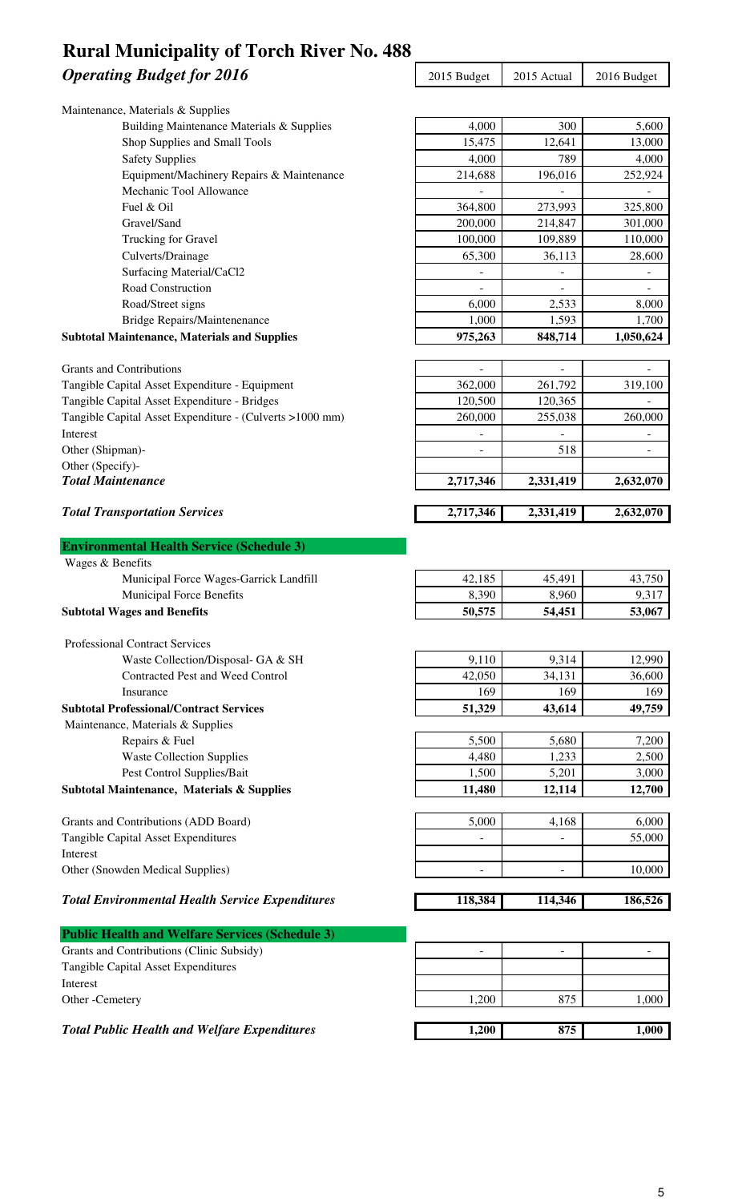### **Operating Budget for 2016** 2015 Budget 2015 Actual 2016 Budget **Rural Municipality of Torch River No. 488**

| Maintenance, Materials & Supplies                                        |                 |                          |                          |
|--------------------------------------------------------------------------|-----------------|--------------------------|--------------------------|
| Building Maintenance Materials & Supplies                                | 4,000           | 300                      | 5,600                    |
| Shop Supplies and Small Tools                                            | 15,475          | 12,641                   | 13,000                   |
| <b>Safety Supplies</b>                                                   | 4,000           | 789                      | 4,000                    |
| Equipment/Machinery Repairs & Maintenance                                | 214,688         | 196,016                  | 252,924                  |
| Mechanic Tool Allowance                                                  |                 |                          |                          |
| Fuel & Oil                                                               | 364,800         | 273,993                  | 325,800                  |
| Gravel/Sand                                                              | 200,000         | 214,847                  | 301,000                  |
| Trucking for Gravel                                                      | 100,000         | 109,889                  | 110,000                  |
| Culverts/Drainage                                                        | 65,300          | 36,113                   | 28,600                   |
| Surfacing Material/CaCl2                                                 |                 |                          |                          |
| Road Construction                                                        |                 | $\overline{\phantom{a}}$ | $\overline{\phantom{a}}$ |
| Road/Street signs                                                        | 6,000           | 2,533                    | 8,000                    |
| <b>Bridge Repairs/Maintenenance</b>                                      | 1,000           | 1,593                    | 1,700                    |
| <b>Subtotal Maintenance, Materials and Supplies</b>                      | 975,263         | 848,714                  | 1,050,624                |
| <b>Grants and Contributions</b>                                          |                 |                          |                          |
| Tangible Capital Asset Expenditure - Equipment                           | 362,000         | 261,792                  | 319,100                  |
| Tangible Capital Asset Expenditure - Bridges                             | 120,500         | 120,365                  |                          |
| Tangible Capital Asset Expenditure - (Culverts >1000 mm)                 | 260,000         | 255,038                  | 260,000                  |
| Interest                                                                 |                 |                          |                          |
| Other (Shipman)-                                                         |                 | 518                      |                          |
| Other (Specify)-                                                         |                 |                          |                          |
| <b>Total Maintenance</b>                                                 | 2,717,346       | 2,331,419                | 2,632,070                |
| <b>Total Transportation Services</b>                                     | 2,717,346       | 2,331,419                | 2,632,070                |
|                                                                          |                 |                          |                          |
| <b>Environmental Health Service (Schedule 3)</b>                         |                 |                          |                          |
| Wages & Benefits                                                         |                 |                          |                          |
| Municipal Force Wages-Garrick Landfill                                   | 42,185          | 45,491                   | 43,750                   |
| Municipal Force Benefits                                                 | 8,390           | 8,960                    |                          |
|                                                                          |                 |                          | 9,317                    |
| <b>Subtotal Wages and Benefits</b>                                       | 50,575          | 54,451                   | 53,067                   |
| <b>Professional Contract Services</b>                                    |                 |                          |                          |
|                                                                          |                 |                          |                          |
| Waste Collection/Disposal- GA & SH                                       | 9,110           | 9,314                    | 12,990                   |
| Contracted Pest and Weed Control<br>Insurance                            | 42,050          | 34,131                   | 36,600                   |
| <b>Subtotal Professional/Contract Services</b>                           | 169<br>51,329   | 169<br>43,614            | 169<br>49,759            |
|                                                                          |                 |                          |                          |
| Maintenance, Materials & Supplies                                        |                 |                          |                          |
| Repairs & Fuel<br><b>Waste Collection Supplies</b>                       | 5,500<br>4,480  | 5,680<br>1,233           | 7,200<br>2,500           |
|                                                                          |                 |                          |                          |
| Pest Control Supplies/Bait<br>Subtotal Maintenance, Materials & Supplies | 1,500<br>11,480 | 5,201<br>12,114          | 3,000<br>12,700          |
|                                                                          |                 |                          |                          |
| Grants and Contributions (ADD Board)                                     | 5,000           | 4,168                    | 6,000                    |
| Tangible Capital Asset Expenditures                                      | -               |                          | 55,000                   |
| Interest                                                                 |                 |                          |                          |
| Other (Snowden Medical Supplies)                                         |                 |                          | 10,000                   |
| <b>Total Environmental Health Service Expenditures</b>                   | 118,384         | 114,346                  | 186,526                  |
|                                                                          |                 |                          |                          |
| <b>Public Health and Welfare Services (Schedule 3)</b>                   |                 |                          |                          |
| Grants and Contributions (Clinic Subsidy)                                |                 |                          |                          |
| Tangible Capital Asset Expenditures                                      |                 |                          |                          |
| Interest<br>Other -Cemetery                                              | 1,200           | 875                      | 1,000                    |

*Total Public Health and Welfare Expenditures* 1,200 875 1,000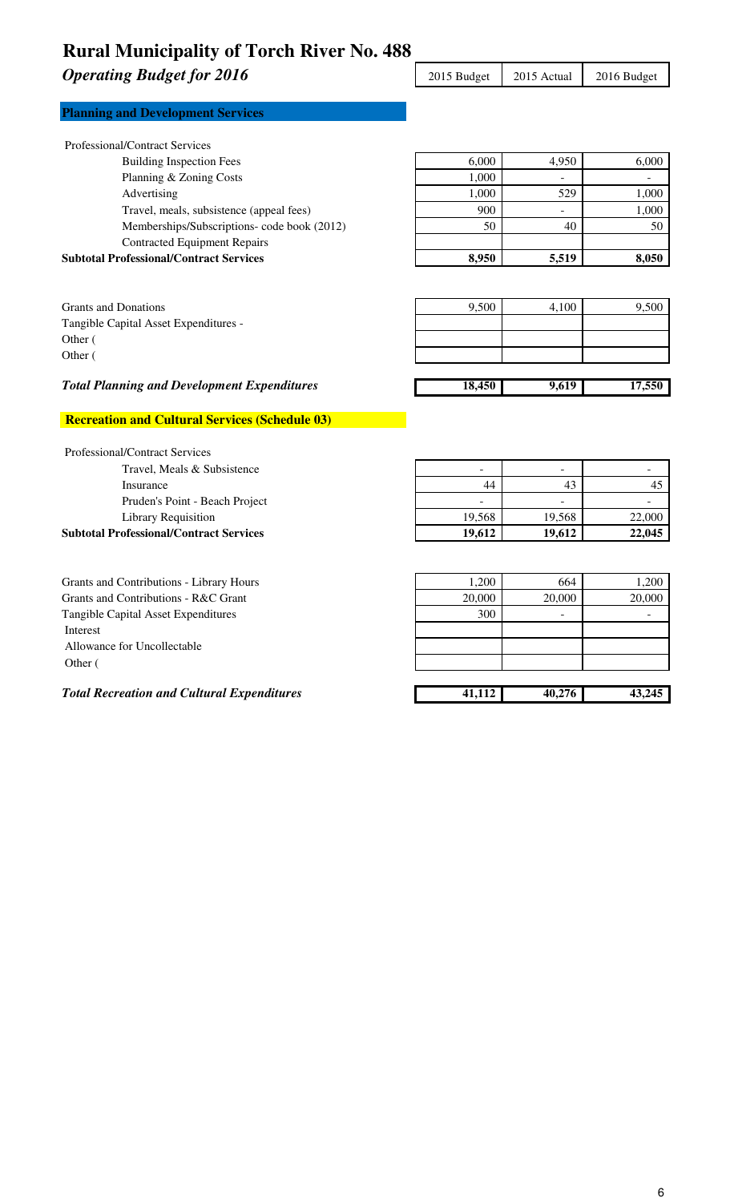### **Operating Budget for 2016** 2015 Budget 2015 Actual

| 2016 Budget |  |
|-------------|--|

| <b>Planning and Development Services</b> |  |
|------------------------------------------|--|
|------------------------------------------|--|

| <b>Subtotal Professional/Contract Services</b> | 8,950                                                                  | 5,519 | 8,050 |
|------------------------------------------------|------------------------------------------------------------------------|-------|-------|
| <b>Contracted Equipment Repairs</b>            |                                                                        |       |       |
|                                                | 50                                                                     | 40    | 50    |
| Travel, meals, subsistence (appeal fees)       | 900                                                                    | ۰.    | 1,000 |
| Advertising                                    | 1,000                                                                  | 529   | 1,000 |
|                                                | 1.000                                                                  |       |       |
| <b>Building Inspection Fees</b>                | 6,000                                                                  | 4.950 | 6,000 |
|                                                | Planning & Zoning Costs<br>Memberships/Subscriptions- code book (2012) |       |       |

| Grants and Donations                  | 9,500 | 4,100 | 9.500 |
|---------------------------------------|-------|-------|-------|
| Tangible Capital Asset Expenditures - |       |       |       |
| Other (                               |       |       |       |
| Other (                               |       |       |       |
|                                       |       |       |       |

#### *Total Planning and Development Expenditures* 18,450 9,619 17,550

#### **Recreation and Cultural Services (Schedule 03)**

| <b>Professional/Contract Services</b>          |                          |                          |        |
|------------------------------------------------|--------------------------|--------------------------|--------|
| Travel, Meals & Subsistence                    | -                        | $\overline{\phantom{0}}$ |        |
| Insurance                                      | 44                       | 43                       |        |
| Pruden's Point - Beach Project                 | $\overline{\phantom{a}}$ | $\overline{\phantom{0}}$ |        |
| Library Requisition                            | 19.568                   | 19,568                   | 22,000 |
| <b>Subtotal Professional/Contract Services</b> | 19.612                   | 19.612                   | 22,045 |
|                                                |                          |                          |        |

| Grants and Contributions - Library Hours          | 1.200  | 664    | 1,200  |
|---------------------------------------------------|--------|--------|--------|
| Grants and Contributions - R&C Grant              | 20,000 | 20,000 | 20,000 |
| Tangible Capital Asset Expenditures               | 300    | -      |        |
| Interest                                          |        |        |        |
| Allowance for Uncollectable                       |        |        |        |
| Other (                                           |        |        |        |
|                                                   |        |        |        |
| <b>Total Recreation and Cultural Expenditures</b> | 41,112 | 40.276 | 43,245 |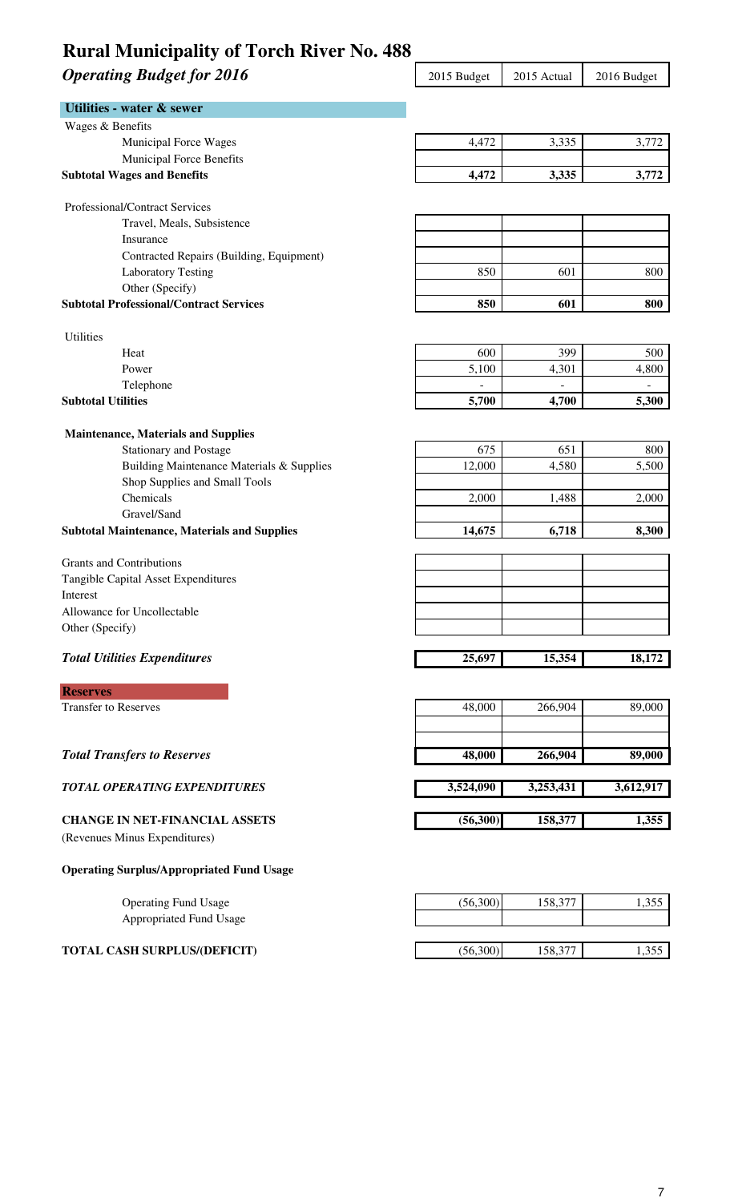# **Operating Budget for 2016** 2015 2015 Budget 2015 Actual 2016 Budget

| <b>Utilities - water &amp; sewer</b>                |           |           |           |
|-----------------------------------------------------|-----------|-----------|-----------|
| Wages & Benefits                                    |           |           |           |
| Municipal Force Wages                               | 4,472     | 3,335     | 3,772     |
| Municipal Force Benefits                            |           |           |           |
| <b>Subtotal Wages and Benefits</b>                  | 4,472     | 3,335     | 3,772     |
| Professional/Contract Services                      |           |           |           |
| Travel, Meals, Subsistence                          |           |           |           |
| Insurance                                           |           |           |           |
| Contracted Repairs (Building, Equipment)            |           |           |           |
| <b>Laboratory Testing</b>                           | 850       | 601       | 800       |
| Other (Specify)                                     |           |           |           |
| <b>Subtotal Professional/Contract Services</b>      | 850       | 601       | 800       |
| <b>Utilities</b>                                    |           |           |           |
| Heat                                                | 600       | 399       | 500       |
| Power                                               | 5,100     | 4,301     | 4,800     |
| Telephone                                           |           |           |           |
| <b>Subtotal Utilities</b>                           | 5,700     | 4,700     | 5,300     |
|                                                     |           |           |           |
| <b>Maintenance, Materials and Supplies</b>          |           |           |           |
| <b>Stationary and Postage</b>                       | 675       | 651       | 800       |
| Building Maintenance Materials & Supplies           | 12,000    | 4,580     | 5,500     |
| Shop Supplies and Small Tools<br>Chemicals          | 2,000     | 1,488     | 2,000     |
| Gravel/Sand                                         |           |           |           |
| <b>Subtotal Maintenance, Materials and Supplies</b> | 14,675    | 6,718     | 8,300     |
|                                                     |           |           |           |
| <b>Grants and Contributions</b>                     |           |           |           |
| Tangible Capital Asset Expenditures                 |           |           |           |
| Interest                                            |           |           |           |
| Allowance for Uncollectable                         |           |           |           |
| Other (Specify)                                     |           |           |           |
| <b>Total Utilities Expenditures</b>                 | 25,697    | 15,354    | 18,172    |
| <b>Reserves</b>                                     |           |           |           |
| <b>Transfer to Reserves</b>                         | 48,000    | 266,904   | 89,000    |
|                                                     |           |           |           |
|                                                     |           |           |           |
| <b>Total Transfers to Reserves</b>                  | 48,000    | 266,904   | 89,000    |
| <b>TOTAL OPERATING EXPENDITURES</b>                 | 3,524,090 | 3,253,431 | 3,612,917 |
| <b>CHANGE IN NET-FINANCIAL ASSETS</b>               | (56, 300) | 158,377   | 1,355     |
| (Revenues Minus Expenditures)                       |           |           |           |
| <b>Operating Surplus/Appropriated Fund Usage</b>    |           |           |           |
| <b>Operating Fund Usage</b>                         | (56,300)  | 158,377   | 1,355     |
| Appropriated Fund Usage                             |           |           |           |
|                                                     |           |           |           |
| <b>TOTAL CASH SURPLUS/(DEFICIT)</b>                 | (56,300)  | 158,377   | 1,355     |